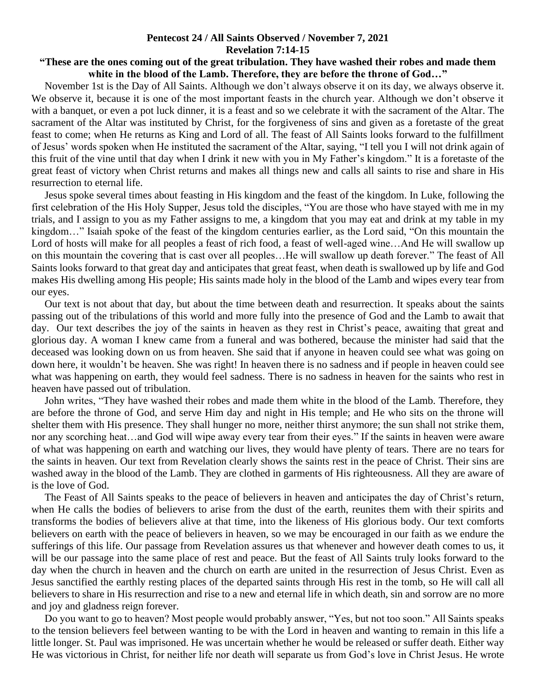## **Pentecost 24 / All Saints Observed / November 7, 2021 Revelation 7:14-15**

## **"These are the ones coming out of the great tribulation. They have washed their robes and made them white in the blood of the Lamb. Therefore, they are before the throne of God…"**

 November 1st is the Day of All Saints. Although we don't always observe it on its day, we always observe it. We observe it, because it is one of the most important feasts in the church year. Although we don't observe it with a banquet, or even a pot luck dinner, it is a feast and so we celebrate it with the sacrament of the Altar. The sacrament of the Altar was instituted by Christ, for the forgiveness of sins and given as a foretaste of the great feast to come; when He returns as King and Lord of all. The feast of All Saints looks forward to the fulfillment of Jesus' words spoken when He instituted the sacrament of the Altar, saying, "I tell you I will not drink again of this fruit of the vine until that day when I drink it new with you in My Father's kingdom." It is a foretaste of the great feast of victory when Christ returns and makes all things new and calls all saints to rise and share in His resurrection to eternal life.

 Jesus spoke several times about feasting in His kingdom and the feast of the kingdom. In Luke, following the first celebration of the His Holy Supper, Jesus told the disciples, "You are those who have stayed with me in my trials, and I assign to you as my Father assigns to me, a kingdom that you may eat and drink at my table in my kingdom…" Isaiah spoke of the feast of the kingdom centuries earlier, as the Lord said, "On this mountain the Lord of hosts will make for all peoples a feast of rich food, a feast of well-aged wine…And He will swallow up on this mountain the covering that is cast over all peoples…He will swallow up death forever." The feast of All Saints looks forward to that great day and anticipates that great feast, when death is swallowed up by life and God makes His dwelling among His people; His saints made holy in the blood of the Lamb and wipes every tear from our eyes.

 Our text is not about that day, but about the time between death and resurrection. It speaks about the saints passing out of the tribulations of this world and more fully into the presence of God and the Lamb to await that day. Our text describes the joy of the saints in heaven as they rest in Christ's peace, awaiting that great and glorious day. A woman I knew came from a funeral and was bothered, because the minister had said that the deceased was looking down on us from heaven. She said that if anyone in heaven could see what was going on down here, it wouldn't be heaven. She was right! In heaven there is no sadness and if people in heaven could see what was happening on earth, they would feel sadness. There is no sadness in heaven for the saints who rest in heaven have passed out of tribulation.

 John writes, "They have washed their robes and made them white in the blood of the Lamb. Therefore, they are before the throne of God, and serve Him day and night in His temple; and He who sits on the throne will shelter them with His presence. They shall hunger no more, neither thirst anymore; the sun shall not strike them, nor any scorching heat…and God will wipe away every tear from their eyes." If the saints in heaven were aware of what was happening on earth and watching our lives, they would have plenty of tears. There are no tears for the saints in heaven. Our text from Revelation clearly shows the saints rest in the peace of Christ. Their sins are washed away in the blood of the Lamb. They are clothed in garments of His righteousness. All they are aware of is the love of God.

 The Feast of All Saints speaks to the peace of believers in heaven and anticipates the day of Christ's return, when He calls the bodies of believers to arise from the dust of the earth, reunites them with their spirits and transforms the bodies of believers alive at that time, into the likeness of His glorious body. Our text comforts believers on earth with the peace of believers in heaven, so we may be encouraged in our faith as we endure the sufferings of this life. Our passage from Revelation assures us that whenever and however death comes to us, it will be our passage into the same place of rest and peace. But the feast of All Saints truly looks forward to the day when the church in heaven and the church on earth are united in the resurrection of Jesus Christ. Even as Jesus sanctified the earthly resting places of the departed saints through His rest in the tomb, so He will call all believers to share in His resurrection and rise to a new and eternal life in which death, sin and sorrow are no more and joy and gladness reign forever.

 Do you want to go to heaven? Most people would probably answer, "Yes, but not too soon." All Saints speaks to the tension believers feel between wanting to be with the Lord in heaven and wanting to remain in this life a little longer. St. Paul was imprisoned. He was uncertain whether he would be released or suffer death. Either way He was victorious in Christ, for neither life nor death will separate us from God's love in Christ Jesus. He wrote